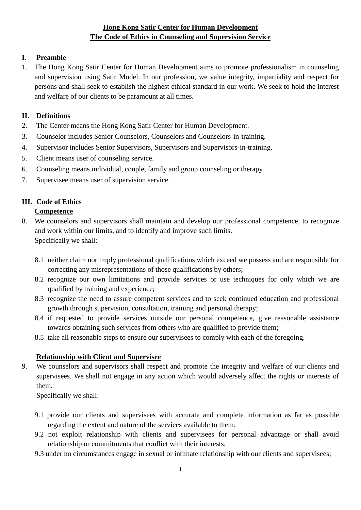## **Hong Kong Satir Center for Human Development The Code of Ethics in Counseling and Supervision Service**

#### **I. Preamble**

1. The Hong Kong Satir Center for Human Development aims to promote professionalism in counseling and supervision using Satir Model. In our profession, we value integrity, impartiality and respect for persons and shall seek to establish the highest ethical standard in our work. We seek to hold the interest and welfare of our clients to be paramount at all times.

#### **II. Definitions**

- 2. The Center means the Hong Kong Satir Center for Human Development.
- 3. Counselor includes Senior Counselors, Counselors and Counselors-in-training.
- 4. Supervisor includes Senior Supervisors, Supervisors and Supervisors-in-training.
- 5. Client means user of counseling service.
- 6. Counseling means individual, couple, family and group counseling or therapy.
- 7. Supervisee means user of supervision service.

# **III. Code of Ethics**

## **Competence**

- 8. We counselors and supervisors shall maintain and develop our professional competence, to recognize and work within our limits, and to identify and improve such limits. Specifically we shall:
	- 8.1 neither claim nor imply professional qualifications which exceed we possess and are responsible for correcting any misrepresentations of those qualifications by others;
	- 8.2 recognize our own limitations and provide services or use techniques for only which we are qualified by training and experience;
	- 8.3 recognize the need to assure competent services and to seek continued education and professional growth through supervision, consultation, training and personal therapy;
	- 8.4 if requested to provide services outside our personal competence, give reasonable assistance towards obtaining such services from others who are qualified to provide them;
	- 8.5 take all reasonable steps to ensure our supervisees to comply with each of the foregoing.

## **Relationship with Client and Supervisee**

9. We counselors and supervisors shall respect and promote the integrity and welfare of our clients and supervisees. We shall not engage in any action which would adversely affect the rights or interests of them.

Specifically we shall:

- 9.1 provide our clients and supervisees with accurate and complete information as far as possible regarding the extent and nature of the services available to them;
- 9.2 not exploit relationship with clients and supervisees for personal advantage or shall avoid relationship or commitments that conflict with their interests;
- 9.3 under no circumstances engage in sexual or intimate relationship with our clients and supervisees;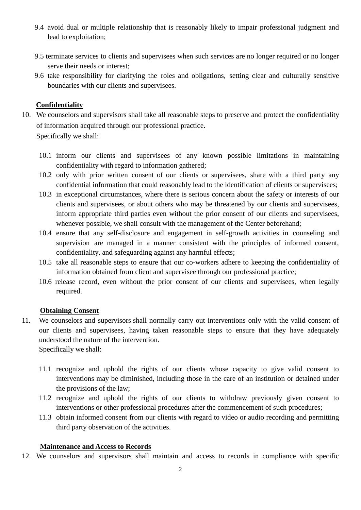- 9.4 avoid dual or multiple relationship that is reasonably likely to impair professional judgment and lead to exploitation;
- 9.5 terminate services to clients and supervisees when such services are no longer required or no longer serve their needs or interest;
- 9.6 take responsibility for clarifying the roles and obligations, setting clear and culturally sensitive boundaries with our clients and supervisees.

#### **Confidentiality**

10. We counselors and supervisors shall take all reasonable steps to preserve and protect the confidentiality of information acquired through our professional practice.

Specifically we shall:

- 10.1 inform our clients and supervisees of any known possible limitations in maintaining confidentiality with regard to information gathered;
- 10.2 only with prior written consent of our clients or supervisees, share with a third party any confidential information that could reasonably lead to the identification of clients or supervisees;
- 10.3 in exceptional circumstances, where there is serious concern about the safety or interests of our clients and supervisees, or about others who may be threatened by our clients and supervisees, inform appropriate third parties even without the prior consent of our clients and supervisees, whenever possible, we shall consult with the management of the Center beforehand;
- 10.4 ensure that any self-disclosure and engagement in self-growth activities in counseling and supervision are managed in a manner consistent with the principles of informed consent, confidentiality, and safeguarding against any harmful effects;
- 10.5 take all reasonable steps to ensure that our co-workers adhere to keeping the confidentiality of information obtained from client and supervisee through our professional practice;
- 10.6 release record, even without the prior consent of our clients and supervisees, when legally required.

#### **Obtaining Consent**

- 11. We counselors and supervisors shall normally carry out interventions only with the valid consent of our clients and supervisees, having taken reasonable steps to ensure that they have adequately understood the nature of the intervention. Specifically we shall:
	- 11.1 recognize and uphold the rights of our clients whose capacity to give valid consent to interventions may be diminished, including those in the care of an institution or detained under the provisions of the law;
	- 11.2 recognize and uphold the rights of our clients to withdraw previously given consent to interventions or other professional procedures after the commencement of such procedures;
	- 11.3 obtain informed consent from our clients with regard to video or audio recording and permitting third party observation of the activities.

## **Maintenance and Access to Records**

12. We counselors and supervisors shall maintain and access to records in compliance with specific